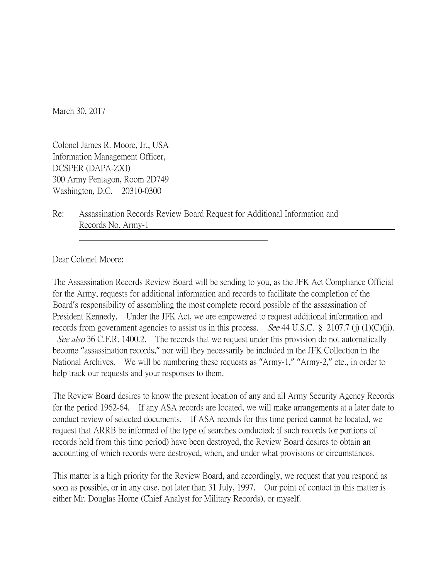March 30, 2017

Colonel James R. Moore, Jr., USA Information Management Officer, DCSPER (DAPA-ZXI) 300 Army Pentagon, Room 2D749 Washington, D.C. 20310-0300

Re: Assassination Records Review Board Request for Additional Information and Records No. Army-1

Dear Colonel Moore:

The Assassination Records Review Board will be sending to you, as the JFK Act Compliance Official for the Army, requests for additional information and records to facilitate the completion of the Board's responsibility of assembling the most complete record possible of the assassination of President Kennedy. Under the JFK Act, we are empowered to request additional information and records from government agencies to assist us in this process. *See* 44 U.S.C. § 2107.7 (j) (1)(C)(ii). See also 36 C.F.R. 1400.2. The records that we request under this provision do not automatically become "assassination records," nor will they necessarily be included in the JFK Collection in the National Archives. We will be numbering these requests as "Army-1," "Army-2," etc., in order to help track our requests and your responses to them.

The Review Board desires to know the present location of any and all Army Security Agency Records for the period 1962-64. If any ASA records are located, we will make arrangements at a later date to conduct review of selected documents. If ASA records for this time period cannot be located, we request that ARRB be informed of the type of searches conducted; if such records (or portions of records held from this time period) have been destroyed, the Review Board desires to obtain an accounting of which records were destroyed, when, and under what provisions or circumstances.

This matter is a high priority for the Review Board, and accordingly, we request that you respond as soon as possible, or in any case, not later than 31 July, 1997. Our point of contact in this matter is either Mr. Douglas Horne (Chief Analyst for Military Records), or myself.